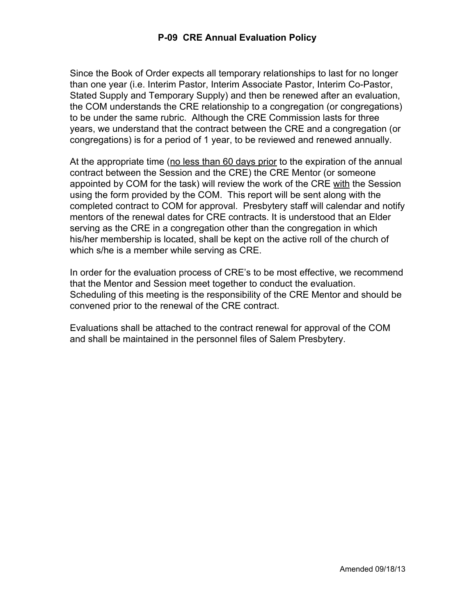Since the Book of Order expects all temporary relationships to last for no longer than one year (i.e. Interim Pastor, Interim Associate Pastor, Interim Co-Pastor, Stated Supply and Temporary Supply) and then be renewed after an evaluation, the COM understands the CRE relationship to a congregation (or congregations) to be under the same rubric. Although the CRE Commission lasts for three years, we understand that the contract between the CRE and a congregation (or congregations) is for a period of 1 year, to be reviewed and renewed annually.

At the appropriate time (no less than 60 days prior to the expiration of the annual contract between the Session and the CRE) the CRE Mentor (or someone appointed by COM for the task) will review the work of the CRE with the Session using the form provided by the COM. This report will be sent along with the completed contract to COM for approval. Presbytery staff will calendar and notify mentors of the renewal dates for CRE contracts. It is understood that an Elder serving as the CRE in a congregation other than the congregation in which his/her membership is located, shall be kept on the active roll of the church of which s/he is a member while serving as CRE.

In order for the evaluation process of CRE's to be most effective, we recommend that the Mentor and Session meet together to conduct the evaluation. Scheduling of this meeting is the responsibility of the CRE Mentor and should be convened prior to the renewal of the CRE contract.

Evaluations shall be attached to the contract renewal for approval of the COM and shall be maintained in the personnel files of Salem Presbytery.